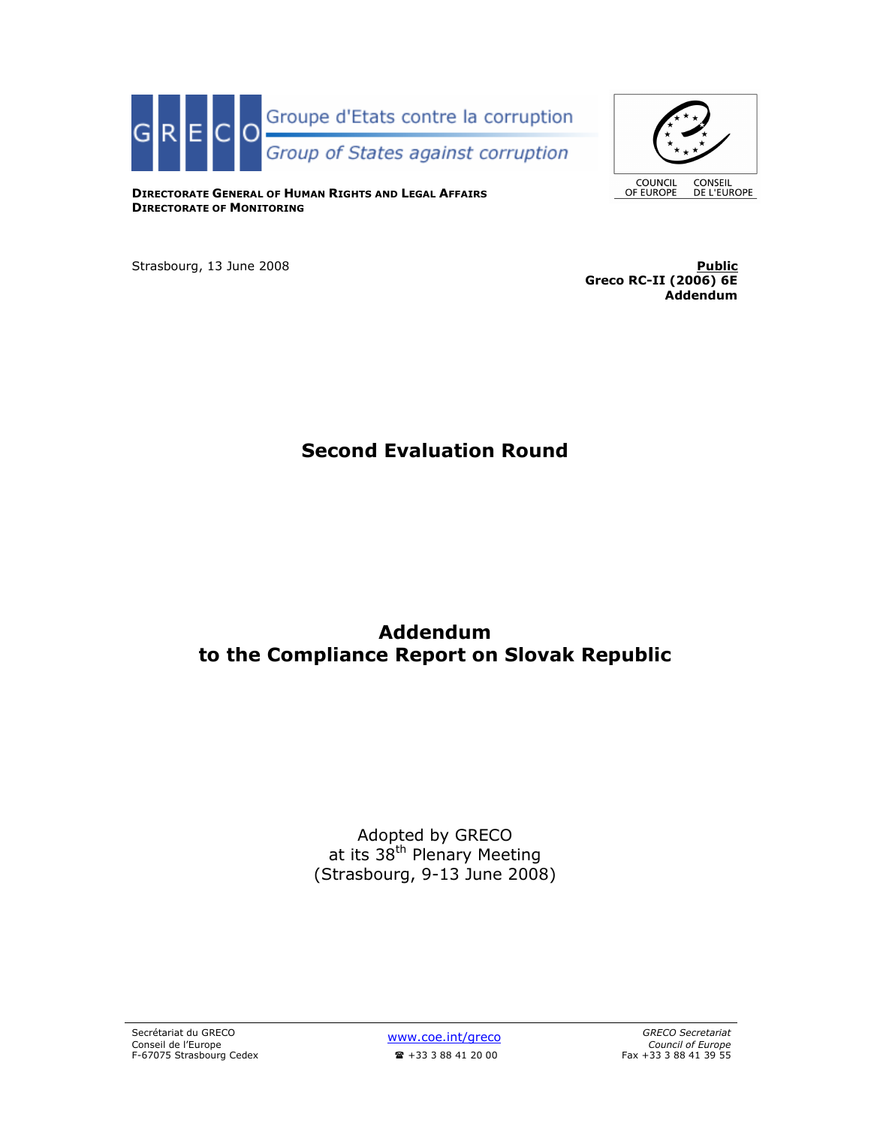

**COUNCIL**<br>OF EUROPE

CONSEIL<br>DE L'EUROPE

DIRECTORATE GENERAL OF HUMAN RIGHTS AND LEGAL AFFAIRS DIRECTORATE OF MONITORING

Strasbourg, 13 June 2008 **Public Public 19 Strasbourg, 13 June 2008** 

Greco RC-II (2006) 6E Addendum

# Second Evaluation Round

# Addendum to the Compliance Report on Slovak Republic

Adopted by GRECO at its 38<sup>th</sup> Plenary Meeting (Strasbourg, 9-13 June 2008)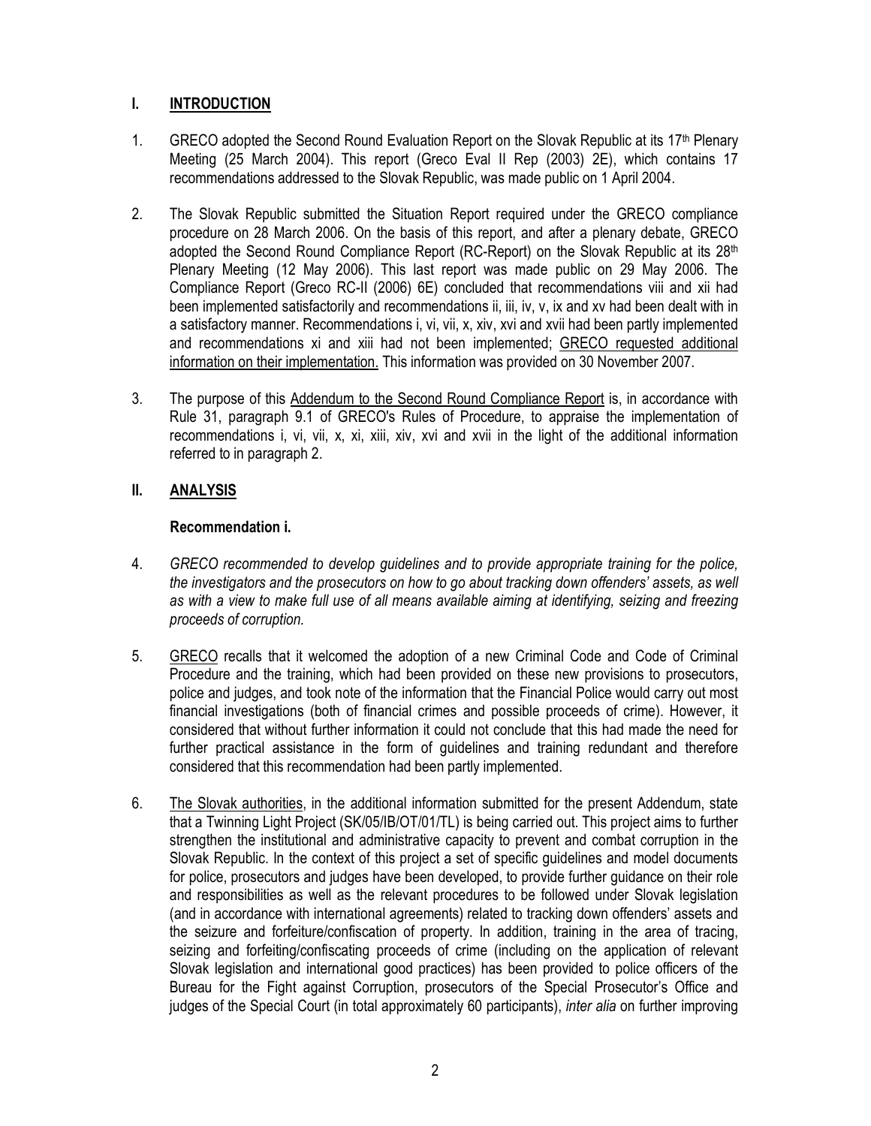# I. INTRODUCTION

- 1. GRECO adopted the Second Round Evaluation Report on the Slovak Republic at its 17<sup>th</sup> Plenary Meeting (25 March 2004). This report (Greco Eval II Rep (2003) 2E), which contains 17 recommendations addressed to the Slovak Republic, was made public on 1 April 2004.
- 2. The Slovak Republic submitted the Situation Report required under the GRECO compliance procedure on 28 March 2006. On the basis of this report, and after a plenary debate, GRECO adopted the Second Round Compliance Report (RC-Report) on the Slovak Republic at its 28<sup>th</sup> Plenary Meeting (12 May 2006). This last report was made public on 29 May 2006. The Compliance Report (Greco RC-II (2006) 6E) concluded that recommendations viii and xii had been implemented satisfactorily and recommendations ii, iii, iv, v, ix and xv had been dealt with in a satisfactory manner. Recommendations i, vi, vii, x, xiv, xvi and xvii had been partly implemented and recommendations xi and xiii had not been implemented; GRECO requested additional information on their implementation. This information was provided on 30 November 2007.
- 3. The purpose of this Addendum to the Second Round Compliance Report is, in accordance with Rule 31, paragraph 9.1 of GRECO's Rules of Procedure, to appraise the implementation of recommendations i, vi, vii, x, xi, xiii, xiv, xvi and xvii in the light of the additional information referred to in paragraph 2.

# II. ANALYSIS

# Recommendation i.

- 4. GRECO recommended to develop guidelines and to provide appropriate training for the police, the investigators and the prosecutors on how to go about tracking down offenders' assets, as well as with a view to make full use of all means available aiming at identifying, seizing and freezing proceeds of corruption.
- 5. GRECO recalls that it welcomed the adoption of a new Criminal Code and Code of Criminal Procedure and the training, which had been provided on these new provisions to prosecutors, police and judges, and took note of the information that the Financial Police would carry out most financial investigations (both of financial crimes and possible proceeds of crime). However, it considered that without further information it could not conclude that this had made the need for further practical assistance in the form of guidelines and training redundant and therefore considered that this recommendation had been partly implemented.
- 6. The Slovak authorities, in the additional information submitted for the present Addendum, state that a Twinning Light Project (SK/05/IB/OT/01/TL) is being carried out. This project aims to further strengthen the institutional and administrative capacity to prevent and combat corruption in the Slovak Republic. In the context of this project a set of specific guidelines and model documents for police, prosecutors and judges have been developed, to provide further guidance on their role and responsibilities as well as the relevant procedures to be followed under Slovak legislation (and in accordance with international agreements) related to tracking down offenders' assets and the seizure and forfeiture/confiscation of property. In addition, training in the area of tracing, seizing and forfeiting/confiscating proceeds of crime (including on the application of relevant Slovak legislation and international good practices) has been provided to police officers of the Bureau for the Fight against Corruption, prosecutors of the Special Prosecutor's Office and judges of the Special Court (in total approximately 60 participants), *inter alia* on further improving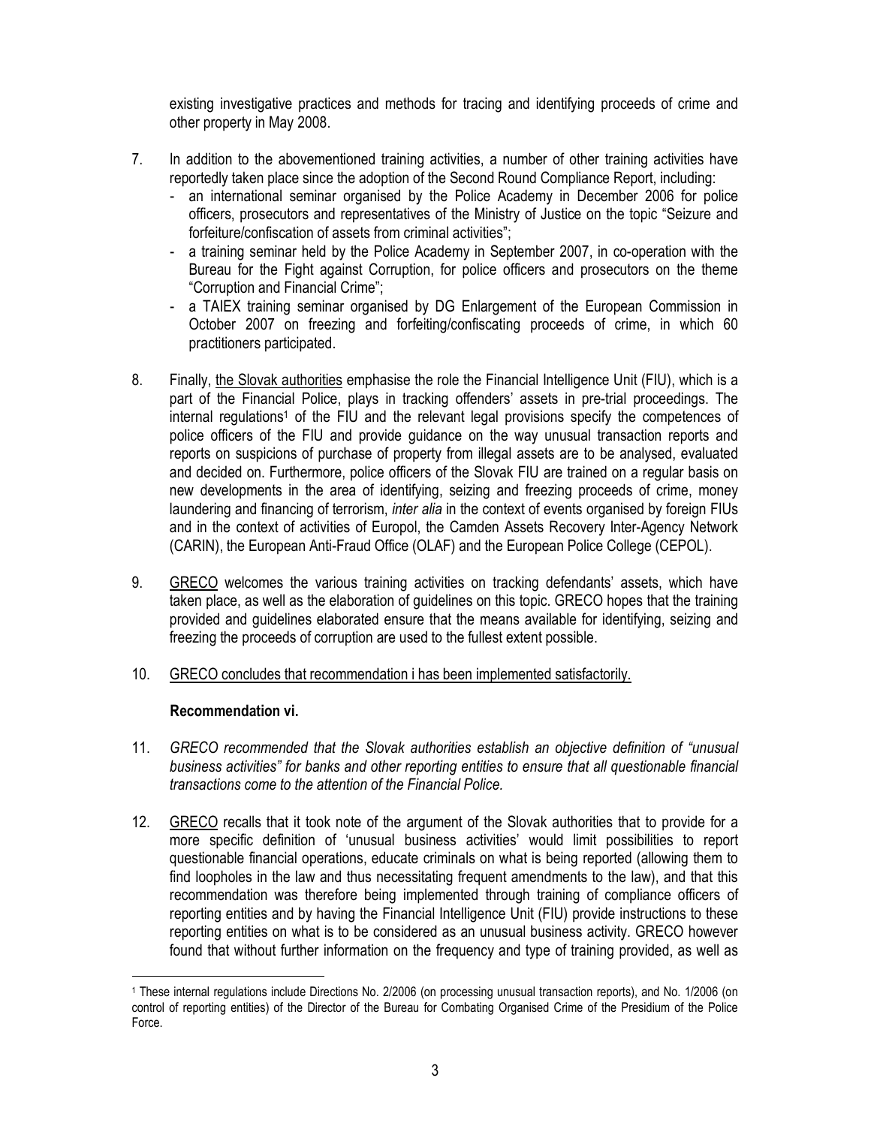existing investigative practices and methods for tracing and identifying proceeds of crime and other property in May 2008.

- 7. In addition to the abovementioned training activities, a number of other training activities have reportedly taken place since the adoption of the Second Round Compliance Report, including:
	- an international seminar organised by the Police Academy in December 2006 for police officers, prosecutors and representatives of the Ministry of Justice on the topic "Seizure and forfeiture/confiscation of assets from criminal activities";
	- a training seminar held by the Police Academy in September 2007, in co-operation with the Bureau for the Fight against Corruption, for police officers and prosecutors on the theme "Corruption and Financial Crime";
	- a TAIEX training seminar organised by DG Enlargement of the European Commission in October 2007 on freezing and forfeiting/confiscating proceeds of crime, in which 60 practitioners participated.
- 8. Finally, the Slovak authorities emphasise the role the Financial Intelligence Unit (FIU), which is a part of the Financial Police, plays in tracking offenders' assets in pre-trial proceedings. The internal regulations<sup>1</sup> of the FIU and the relevant legal provisions specify the competences of police officers of the FIU and provide guidance on the way unusual transaction reports and reports on suspicions of purchase of property from illegal assets are to be analysed, evaluated and decided on. Furthermore, police officers of the Slovak FIU are trained on a regular basis on new developments in the area of identifying, seizing and freezing proceeds of crime, money laundering and financing of terrorism, *inter alia* in the context of events organised by foreign FIUs and in the context of activities of Europol, the Camden Assets Recovery Inter-Agency Network (CARIN), the European Anti-Fraud Office (OLAF) and the European Police College (CEPOL).
- 9. GRECO welcomes the various training activities on tracking defendants' assets, which have taken place, as well as the elaboration of guidelines on this topic. GRECO hopes that the training provided and guidelines elaborated ensure that the means available for identifying, seizing and freezing the proceeds of corruption are used to the fullest extent possible.
- 10. GRECO concludes that recommendation i has been implemented satisfactorily.

#### Recommendation vi.

- 11. GRECO recommended that the Slovak authorities establish an objective definition of "unusual business activities" for banks and other reporting entities to ensure that all questionable financial transactions come to the attention of the Financial Police.
- 12. GRECO recalls that it took note of the argument of the Slovak authorities that to provide for a more specific definition of 'unusual business activities' would limit possibilities to report questionable financial operations, educate criminals on what is being reported (allowing them to find loopholes in the law and thus necessitating frequent amendments to the law), and that this recommendation was therefore being implemented through training of compliance officers of reporting entities and by having the Financial Intelligence Unit (FIU) provide instructions to these reporting entities on what is to be considered as an unusual business activity. GRECO however found that without further information on the frequency and type of training provided, as well as

<sup>1</sup> These internal regulations include Directions No. 2/2006 (on processing unusual transaction reports), and No. 1/2006 (on control of reporting entities) of the Director of the Bureau for Combating Organised Crime of the Presidium of the Police Force.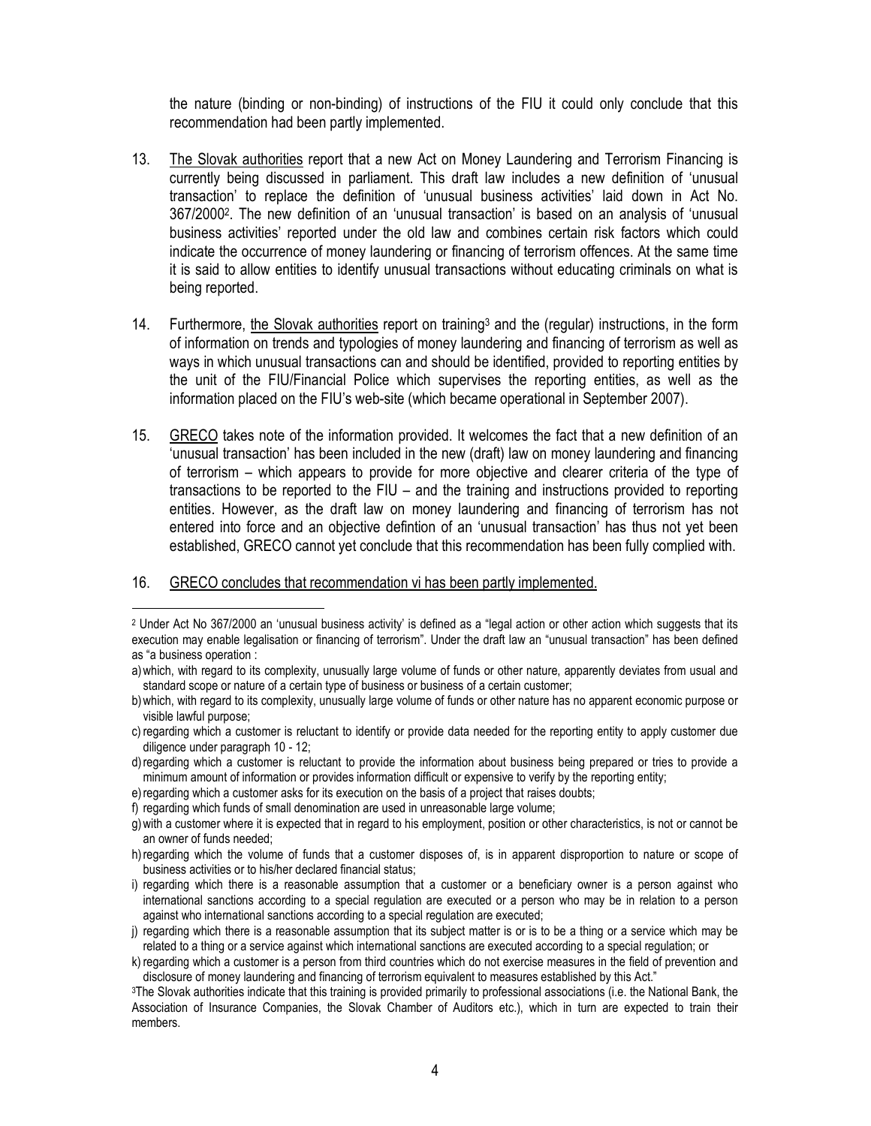the nature (binding or non-binding) of instructions of the FIU it could only conclude that this recommendation had been partly implemented.

- 13. The Slovak authorities report that a new Act on Money Laundering and Terrorism Financing is currently being discussed in parliament. This draft law includes a new definition of 'unusual transaction' to replace the definition of 'unusual business activities' laid down in Act No. 367/2000<sup>2</sup> . The new definition of an 'unusual transaction' is based on an analysis of 'unusual business activities' reported under the old law and combines certain risk factors which could indicate the occurrence of money laundering or financing of terrorism offences. At the same time it is said to allow entities to identify unusual transactions without educating criminals on what is being reported.
- 14. Furthermore, the Slovak authorities report on training<sup>3</sup> and the (regular) instructions, in the form of information on trends and typologies of money laundering and financing of terrorism as well as ways in which unusual transactions can and should be identified, provided to reporting entities by the unit of the FIU/Financial Police which supervises the reporting entities, as well as the information placed on the FIU's web-site (which became operational in September 2007).
- 15. GRECO takes note of the information provided. It welcomes the fact that a new definition of an 'unusual transaction' has been included in the new (draft) law on money laundering and financing of terrorism – which appears to provide for more objective and clearer criteria of the type of transactions to be reported to the FIU – and the training and instructions provided to reporting entities. However, as the draft law on money laundering and financing of terrorism has not entered into force and an objective defintion of an 'unusual transaction' has thus not yet been established, GRECO cannot yet conclude that this recommendation has been fully complied with.

#### 16. GRECO concludes that recommendation vi has been partly implemented.

<sup>2</sup> Under Act No 367/2000 an 'unusual business activity' is defined as a "legal action or other action which suggests that its execution may enable legalisation or financing of terrorism". Under the draft law an "unusual transaction" has been defined as "a business operation :

a)which, with regard to its complexity, unusually large volume of funds or other nature, apparently deviates from usual and standard scope or nature of a certain type of business or business of a certain customer;

b)which, with regard to its complexity, unusually large volume of funds or other nature has no apparent economic purpose or visible lawful purpose;

c) regarding which a customer is reluctant to identify or provide data needed for the reporting entity to apply customer due diligence under paragraph 10 - 12;

d)regarding which a customer is reluctant to provide the information about business being prepared or tries to provide a minimum amount of information or provides information difficult or expensive to verify by the reporting entity;

e) regarding which a customer asks for its execution on the basis of a project that raises doubts;

f) regarding which funds of small denomination are used in unreasonable large volume;

g)with a customer where it is expected that in regard to his employment, position or other characteristics, is not or cannot be an owner of funds needed;

h)regarding which the volume of funds that a customer disposes of, is in apparent disproportion to nature or scope of business activities or to his/her declared financial status;

i) regarding which there is a reasonable assumption that a customer or a beneficiary owner is a person against who international sanctions according to a special regulation are executed or a person who may be in relation to a person against who international sanctions according to a special regulation are executed;

j) regarding which there is a reasonable assumption that its subject matter is or is to be a thing or a service which may be related to a thing or a service against which international sanctions are executed according to a special regulation; or

k) regarding which a customer is a person from third countries which do not exercise measures in the field of prevention and disclosure of money laundering and financing of terrorism equivalent to measures established by this Act."

<sup>3</sup>The Slovak authorities indicate that this training is provided primarily to professional associations (i.e. the National Bank, the Association of Insurance Companies, the Slovak Chamber of Auditors etc.), which in turn are expected to train their members.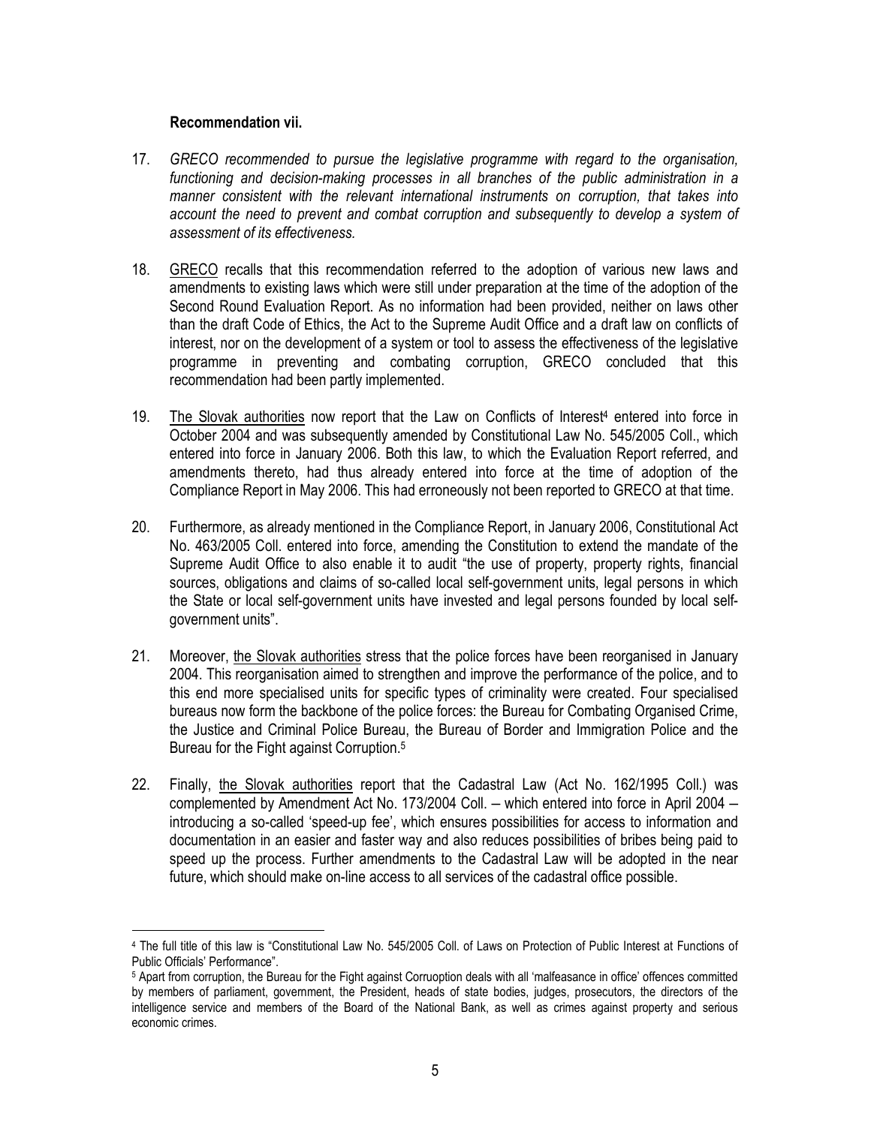#### Recommendation vii.

- 17. GRECO recommended to pursue the legislative programme with regard to the organisation, functioning and decision-making processes in all branches of the public administration in a manner consistent with the relevant international instruments on corruption, that takes into account the need to prevent and combat corruption and subsequently to develop a system of assessment of its effectiveness.
- 18. GRECO recalls that this recommendation referred to the adoption of various new laws and amendments to existing laws which were still under preparation at the time of the adoption of the Second Round Evaluation Report. As no information had been provided, neither on laws other than the draft Code of Ethics, the Act to the Supreme Audit Office and a draft law on conflicts of interest, nor on the development of a system or tool to assess the effectiveness of the legislative programme in preventing and combating corruption, GRECO concluded that this recommendation had been partly implemented.
- 19. The Slovak authorities now report that the Law on Conflicts of Interest<sup>4</sup> entered into force in October 2004 and was subsequently amended by Constitutional Law No. 545/2005 Coll., which entered into force in January 2006. Both this law, to which the Evaluation Report referred, and amendments thereto, had thus already entered into force at the time of adoption of the Compliance Report in May 2006. This had erroneously not been reported to GRECO at that time.
- 20. Furthermore, as already mentioned in the Compliance Report, in January 2006, Constitutional Act No. 463/2005 Coll. entered into force, amending the Constitution to extend the mandate of the Supreme Audit Office to also enable it to audit "the use of property, property rights, financial sources, obligations and claims of so-called local self-government units, legal persons in which the State or local self-government units have invested and legal persons founded by local selfgovernment units".
- 21. Moreover, the Slovak authorities stress that the police forces have been reorganised in January 2004. This reorganisation aimed to strengthen and improve the performance of the police, and to this end more specialised units for specific types of criminality were created. Four specialised bureaus now form the backbone of the police forces: the Bureau for Combating Organised Crime, the Justice and Criminal Police Bureau, the Bureau of Border and Immigration Police and the Bureau for the Fight against Corruption.<sup>5</sup>
- 22. Finally, the Slovak authorities report that the Cadastral Law (Act No. 162/1995 Coll.) was complemented by Amendment Act No. 173/2004 Coll. – which entered into force in April 2004 – introducing a so-called 'speed-up fee', which ensures possibilities for access to information and documentation in an easier and faster way and also reduces possibilities of bribes being paid to speed up the process. Further amendments to the Cadastral Law will be adopted in the near future, which should make on-line access to all services of the cadastral office possible.

<sup>4</sup> The full title of this law is "Constitutional Law No. 545/2005 Coll. of Laws on Protection of Public Interest at Functions of Public Officials' Performance".

<sup>5</sup> Apart from corruption, the Bureau for the Fight against Corruoption deals with all 'malfeasance in office' offences committed by members of parliament, government, the President, heads of state bodies, judges, prosecutors, the directors of the intelligence service and members of the Board of the National Bank, as well as crimes against property and serious economic crimes.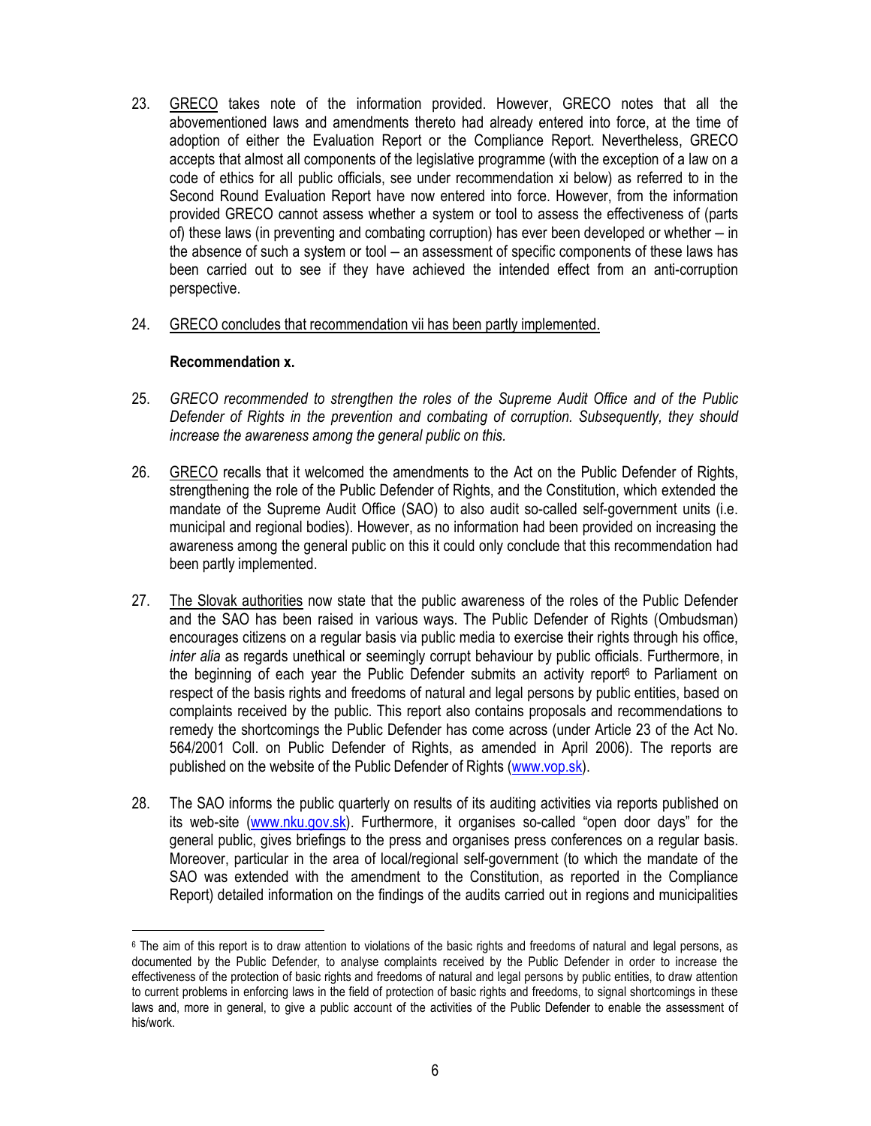- 23. GRECO takes note of the information provided. However, GRECO notes that all the abovementioned laws and amendments thereto had already entered into force, at the time of adoption of either the Evaluation Report or the Compliance Report. Nevertheless, GRECO accepts that almost all components of the legislative programme (with the exception of a law on a code of ethics for all public officials, see under recommendation xi below) as referred to in the Second Round Evaluation Report have now entered into force. However, from the information provided GRECO cannot assess whether a system or tool to assess the effectiveness of (parts of) these laws (in preventing and combating corruption) has ever been developed or whether – in the absence of such a system or tool – an assessment of specific components of these laws has been carried out to see if they have achieved the intended effect from an anti-corruption perspective.
- 24. GRECO concludes that recommendation vii has been partly implemented.

## Recommendation x.

- 25. GRECO recommended to strengthen the roles of the Supreme Audit Office and of the Public Defender of Rights in the prevention and combating of corruption. Subsequently, they should increase the awareness among the general public on this.
- 26. GRECO recalls that it welcomed the amendments to the Act on the Public Defender of Rights, strengthening the role of the Public Defender of Rights, and the Constitution, which extended the mandate of the Supreme Audit Office (SAO) to also audit so-called self-government units (i.e. municipal and regional bodies). However, as no information had been provided on increasing the awareness among the general public on this it could only conclude that this recommendation had been partly implemented.
- 27. The Slovak authorities now state that the public awareness of the roles of the Public Defender and the SAO has been raised in various ways. The Public Defender of Rights (Ombudsman) encourages citizens on a regular basis via public media to exercise their rights through his office, inter alia as regards unethical or seemingly corrupt behaviour by public officials. Furthermore, in the beginning of each year the Public Defender submits an activity report<sup>6</sup> to Parliament on respect of the basis rights and freedoms of natural and legal persons by public entities, based on complaints received by the public. This report also contains proposals and recommendations to remedy the shortcomings the Public Defender has come across (under Article 23 of the Act No. 564/2001 Coll. on Public Defender of Rights, as amended in April 2006). The reports are published on the website of the Public Defender of Rights (www.vop.sk).
- 28. The SAO informs the public quarterly on results of its auditing activities via reports published on its web-site (www.nku.gov.sk). Furthermore, it organises so-called "open door days" for the general public, gives briefings to the press and organises press conferences on a regular basis. Moreover, particular in the area of local/regional self-government (to which the mandate of the SAO was extended with the amendment to the Constitution, as reported in the Compliance Report) detailed information on the findings of the audits carried out in regions and municipalities

<sup>6</sup> The aim of this report is to draw attention to violations of the basic rights and freedoms of natural and legal persons, as documented by the Public Defender, to analyse complaints received by the Public Defender in order to increase the effectiveness of the protection of basic rights and freedoms of natural and legal persons by public entities, to draw attention to current problems in enforcing laws in the field of protection of basic rights and freedoms, to signal shortcomings in these laws and, more in general, to give a public account of the activities of the Public Defender to enable the assessment of his/work.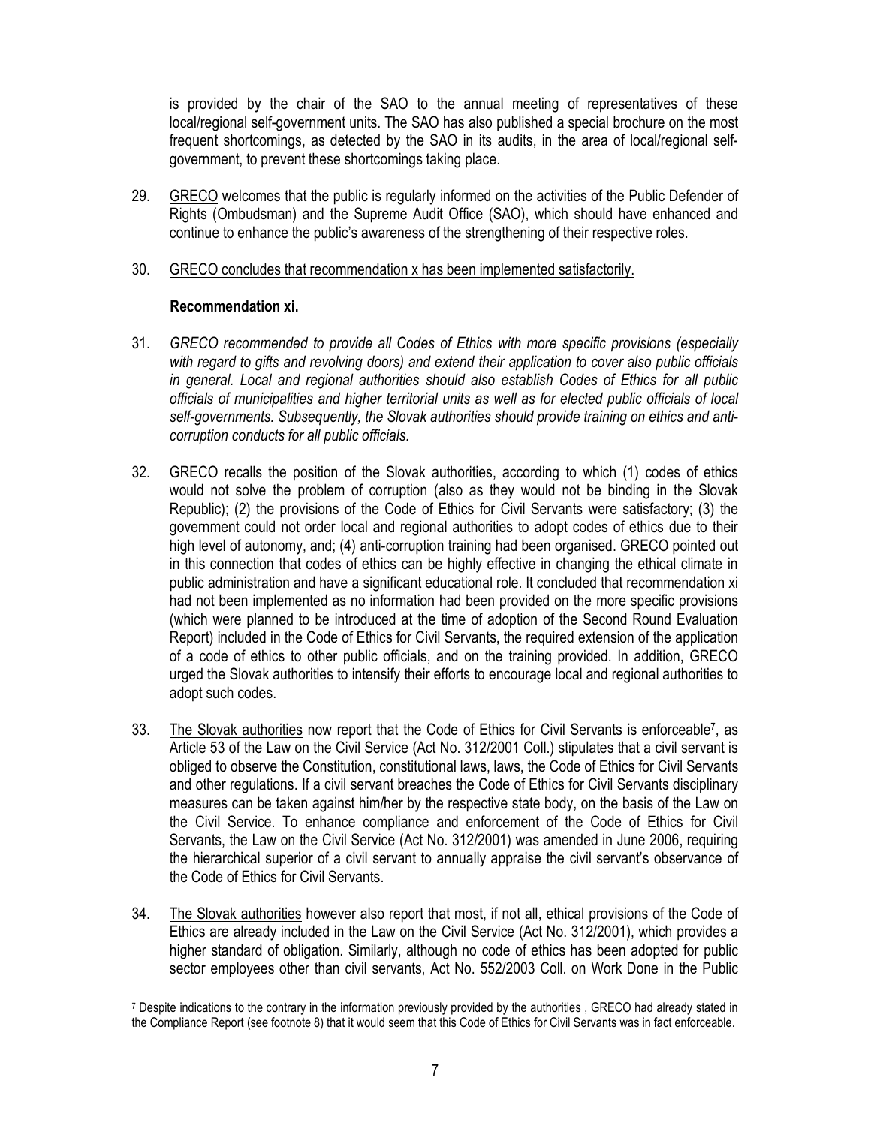is provided by the chair of the SAO to the annual meeting of representatives of these local/regional self-government units. The SAO has also published a special brochure on the most frequent shortcomings, as detected by the SAO in its audits, in the area of local/regional selfgovernment, to prevent these shortcomings taking place.

- 29. GRECO welcomes that the public is regularly informed on the activities of the Public Defender of Rights (Ombudsman) and the Supreme Audit Office (SAO), which should have enhanced and continue to enhance the public's awareness of the strengthening of their respective roles.
- 30. GRECO concludes that recommendation x has been implemented satisfactorily.

## Recommendation xi.

- 31. GRECO recommended to provide all Codes of Ethics with more specific provisions (especially with regard to gifts and revolving doors) and extend their application to cover also public officials in general. Local and regional authorities should also establish Codes of Ethics for all public officials of municipalities and higher territorial units as well as for elected public officials of local self-governments. Subsequently, the Slovak authorities should provide training on ethics and anticorruption conducts for all public officials.
- 32. GRECO recalls the position of the Slovak authorities, according to which (1) codes of ethics would not solve the problem of corruption (also as they would not be binding in the Slovak Republic); (2) the provisions of the Code of Ethics for Civil Servants were satisfactory; (3) the government could not order local and regional authorities to adopt codes of ethics due to their high level of autonomy, and; (4) anti-corruption training had been organised. GRECO pointed out in this connection that codes of ethics can be highly effective in changing the ethical climate in public administration and have a significant educational role. It concluded that recommendation xi had not been implemented as no information had been provided on the more specific provisions (which were planned to be introduced at the time of adoption of the Second Round Evaluation Report) included in the Code of Ethics for Civil Servants, the required extension of the application of a code of ethics to other public officials, and on the training provided. In addition, GRECO urged the Slovak authorities to intensify their efforts to encourage local and regional authorities to adopt such codes.
- 33. The Slovak authorities now report that the Code of Ethics for Civil Servants is enforceable<sup>7</sup>, as Article 53 of the Law on the Civil Service (Act No. 312/2001 Coll.) stipulates that a civil servant is obliged to observe the Constitution, constitutional laws, laws, the Code of Ethics for Civil Servants and other regulations. If a civil servant breaches the Code of Ethics for Civil Servants disciplinary measures can be taken against him/her by the respective state body, on the basis of the Law on the Civil Service. To enhance compliance and enforcement of the Code of Ethics for Civil Servants, the Law on the Civil Service (Act No. 312/2001) was amended in June 2006, requiring the hierarchical superior of a civil servant to annually appraise the civil servant's observance of the Code of Ethics for Civil Servants.
- 34. The Slovak authorities however also report that most, if not all, ethical provisions of the Code of Ethics are already included in the Law on the Civil Service (Act No. 312/2001), which provides a higher standard of obligation. Similarly, although no code of ethics has been adopted for public sector employees other than civil servants, Act No. 552/2003 Coll. on Work Done in the Public

<sup>7</sup> Despite indications to the contrary in the information previously provided by the authorities , GRECO had already stated in the Compliance Report (see footnote 8) that it would seem that this Code of Ethics for Civil Servants was in fact enforceable.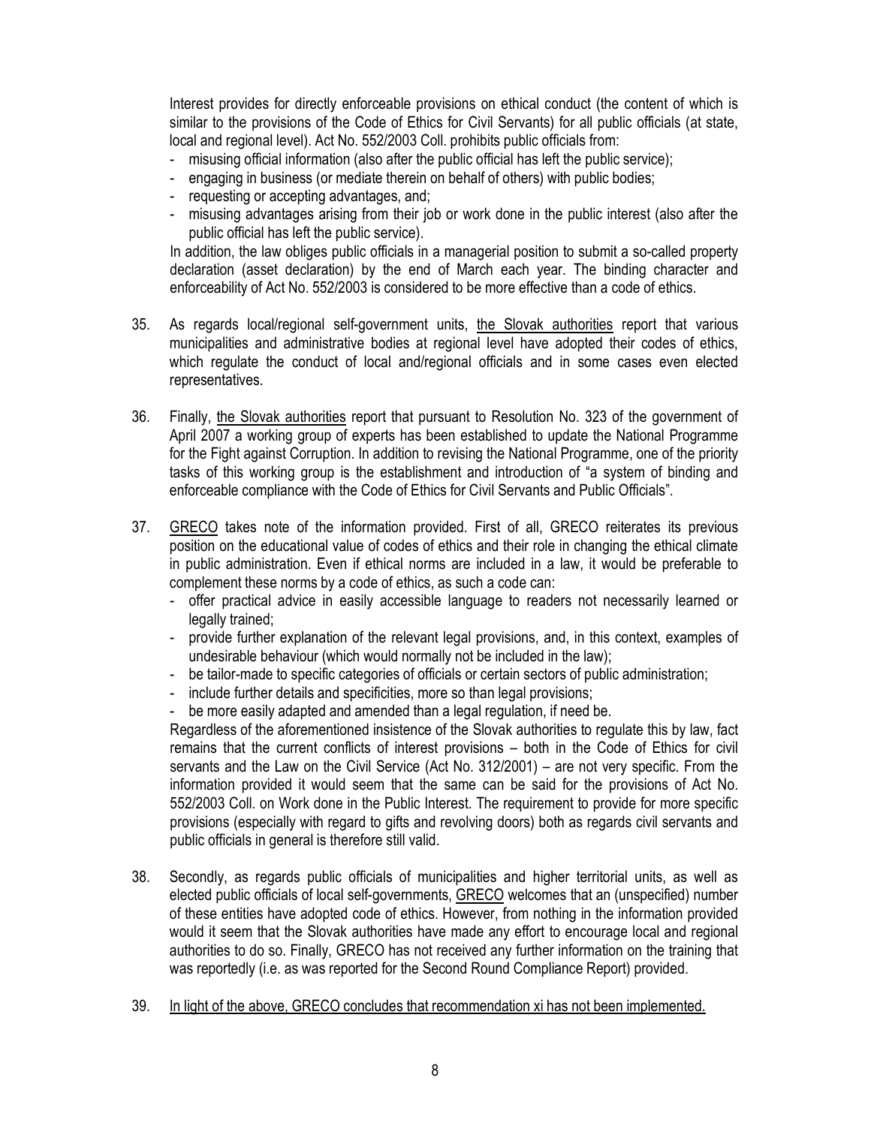Interest provides for directly enforceable provisions on ethical conduct (the content of which is similar to the provisions of the Code of Ethics for Civil Servants) for all public officials (at state, local and regional level). Act No. 552/2003 Coll. prohibits public officials from:

- misusing official information (also after the public official has left the public service);
- engaging in business (or mediate therein on behalf of others) with public bodies;
- requesting or accepting advantages, and;
- misusing advantages arising from their job or work done in the public interest (also after the public official has left the public service).

In addition, the law obliges public officials in a managerial position to submit a so-called property declaration (asset declaration) by the end of March each year. The binding character and enforceability of Act No. 552/2003 is considered to be more effective than a code of ethics.

- 35. As regards local/regional self-government units, the Slovak authorities report that various municipalities and administrative bodies at regional level have adopted their codes of ethics, which regulate the conduct of local and/regional officials and in some cases even elected representatives.
- 36. Finally, the Slovak authorities report that pursuant to Resolution No. 323 of the government of April 2007 a working group of experts has been established to update the National Programme for the Fight against Corruption. In addition to revising the National Programme, one of the priority tasks of this working group is the establishment and introduction of "a system of binding and enforceable compliance with the Code of Ethics for Civil Servants and Public Officials".
- 37. GRECO takes note of the information provided. First of all, GRECO reiterates its previous position on the educational value of codes of ethics and their role in changing the ethical climate in public administration. Even if ethical norms are included in a law, it would be preferable to complement these norms by a code of ethics, as such a code can:
	- offer practical advice in easily accessible language to readers not necessarily learned or legally trained:
	- provide further explanation of the relevant legal provisions, and, in this context, examples of undesirable behaviour (which would normally not be included in the law);
	- be tailor-made to specific categories of officials or certain sectors of public administration;
	- include further details and specificities, more so than legal provisions;
	- be more easily adapted and amended than a legal regulation, if need be.

Regardless of the aforementioned insistence of the Slovak authorities to regulate this by law, fact remains that the current conflicts of interest provisions – both in the Code of Ethics for civil servants and the Law on the Civil Service (Act No. 312/2001) – are not very specific. From the information provided it would seem that the same can be said for the provisions of Act No. 552/2003 Coll. on Work done in the Public Interest. The requirement to provide for more specific provisions (especially with regard to gifts and revolving doors) both as regards civil servants and public officials in general is therefore still valid.

- 38. Secondly, as regards public officials of municipalities and higher territorial units, as well as elected public officials of local self-governments, GRECO welcomes that an (unspecified) number of these entities have adopted code of ethics. However, from nothing in the information provided would it seem that the Slovak authorities have made any effort to encourage local and regional authorities to do so. Finally, GRECO has not received any further information on the training that was reportedly (i.e. as was reported for the Second Round Compliance Report) provided.
- 39. In light of the above, GRECO concludes that recommendation xi has not been implemented.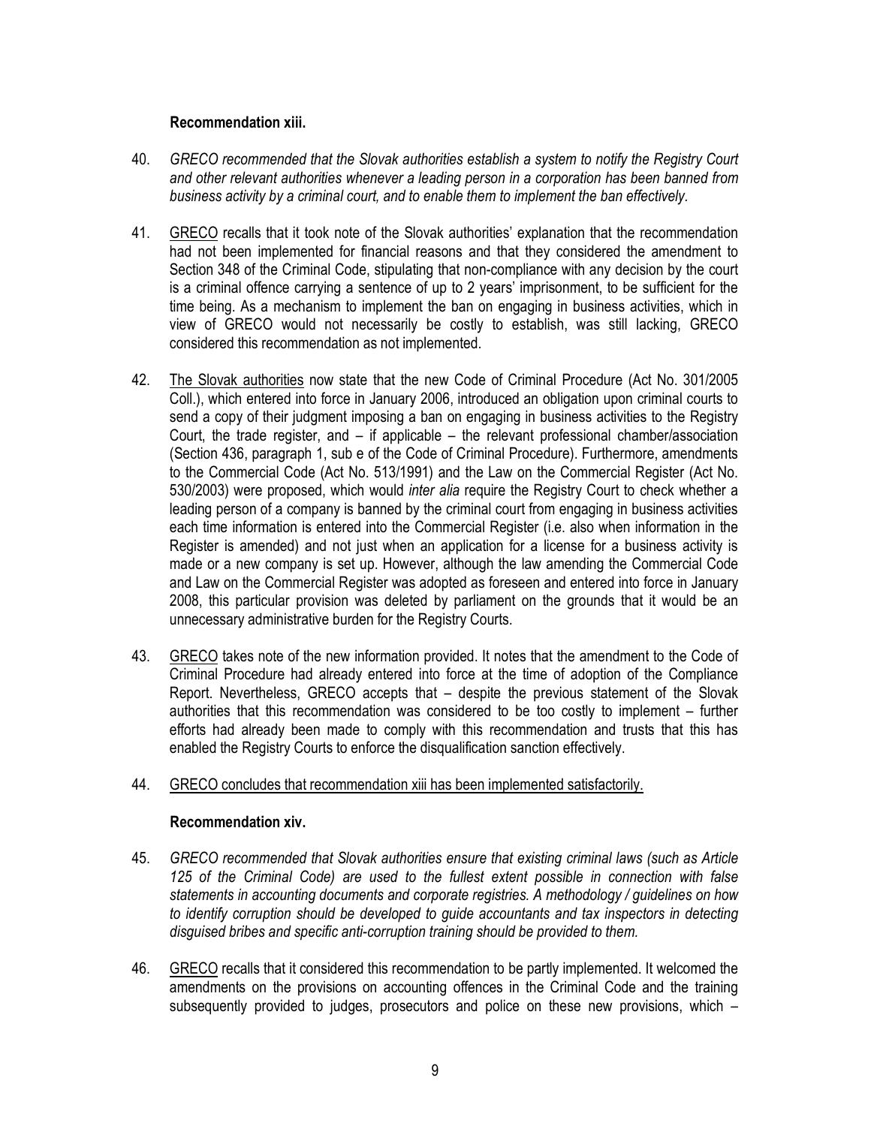## Recommendation xiii.

- 40. GRECO recommended that the Slovak authorities establish a system to notify the Registry Court and other relevant authorities whenever a leading person in a corporation has been banned from business activity by a criminal court, and to enable them to implement the ban effectively.
- 41. GRECO recalls that it took note of the Slovak authorities' explanation that the recommendation had not been implemented for financial reasons and that they considered the amendment to Section 348 of the Criminal Code, stipulating that non-compliance with any decision by the court is a criminal offence carrying a sentence of up to 2 years' imprisonment, to be sufficient for the time being. As a mechanism to implement the ban on engaging in business activities, which in view of GRECO would not necessarily be costly to establish, was still lacking, GRECO considered this recommendation as not implemented.
- 42. The Slovak authorities now state that the new Code of Criminal Procedure (Act No. 301/2005 Coll.), which entered into force in January 2006, introduced an obligation upon criminal courts to send a copy of their judgment imposing a ban on engaging in business activities to the Registry Court, the trade register, and – if applicable – the relevant professional chamber/association (Section 436, paragraph 1, sub e of the Code of Criminal Procedure). Furthermore, amendments to the Commercial Code (Act No. 513/1991) and the Law on the Commercial Register (Act No. 530/2003) were proposed, which would inter alia require the Registry Court to check whether a leading person of a company is banned by the criminal court from engaging in business activities each time information is entered into the Commercial Register (i.e. also when information in the Register is amended) and not just when an application for a license for a business activity is made or a new company is set up. However, although the law amending the Commercial Code and Law on the Commercial Register was adopted as foreseen and entered into force in January 2008, this particular provision was deleted by parliament on the grounds that it would be an unnecessary administrative burden for the Registry Courts.
- 43. GRECO takes note of the new information provided. It notes that the amendment to the Code of Criminal Procedure had already entered into force at the time of adoption of the Compliance Report. Nevertheless, GRECO accepts that – despite the previous statement of the Slovak authorities that this recommendation was considered to be too costly to implement – further efforts had already been made to comply with this recommendation and trusts that this has enabled the Registry Courts to enforce the disqualification sanction effectively.
- 44. GRECO concludes that recommendation xiii has been implemented satisfactorily.

#### Recommendation xiv.

- 45. GRECO recommended that Slovak authorities ensure that existing criminal laws (such as Article 125 of the Criminal Code) are used to the fullest extent possible in connection with false statements in accounting documents and corporate registries. A methodology / guidelines on how to identify corruption should be developed to guide accountants and tax inspectors in detecting disguised bribes and specific anti-corruption training should be provided to them.
- 46. GRECO recalls that it considered this recommendation to be partly implemented. It welcomed the amendments on the provisions on accounting offences in the Criminal Code and the training subsequently provided to judges, prosecutors and police on these new provisions, which –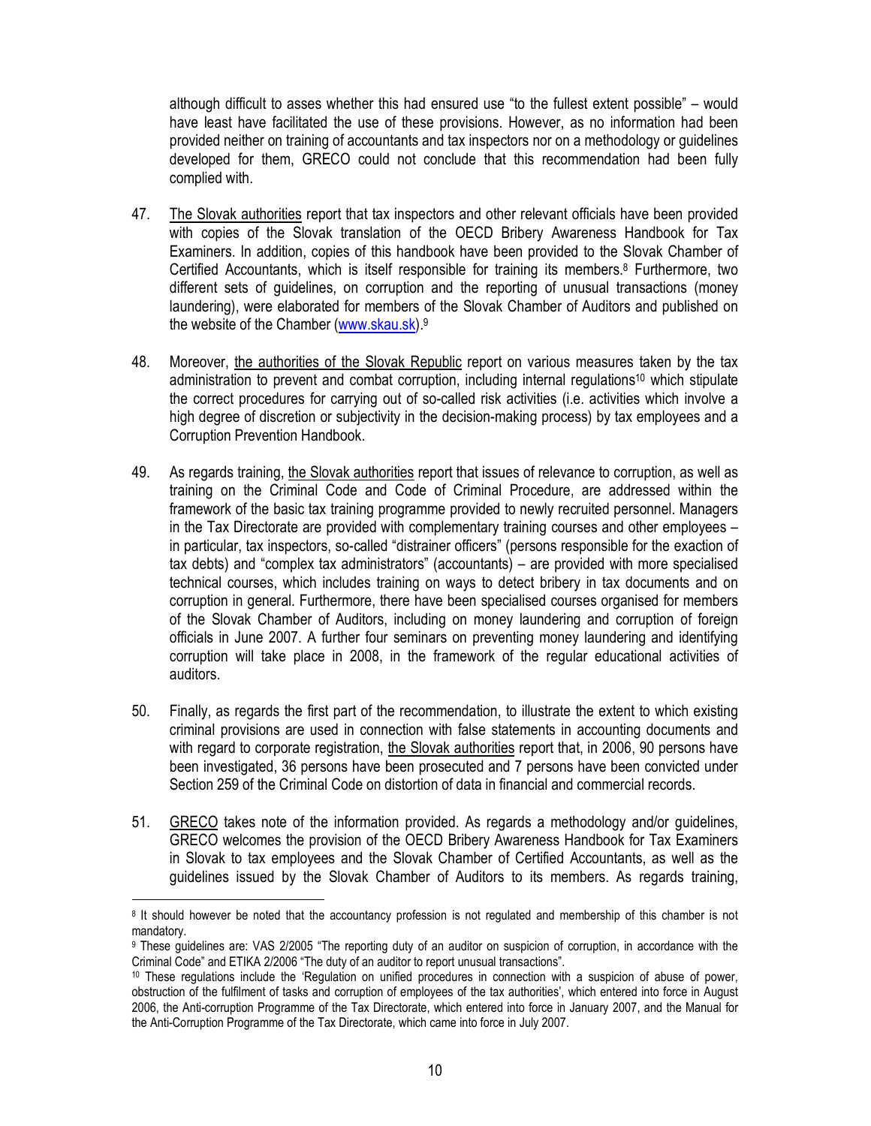although difficult to asses whether this had ensured use "to the fullest extent possible" – would have least have facilitated the use of these provisions. However, as no information had been provided neither on training of accountants and tax inspectors nor on a methodology or guidelines developed for them, GRECO could not conclude that this recommendation had been fully complied with.

- 47. The Slovak authorities report that tax inspectors and other relevant officials have been provided with copies of the Slovak translation of the OECD Bribery Awareness Handbook for Tax Examiners. In addition, copies of this handbook have been provided to the Slovak Chamber of Certified Accountants, which is itself responsible for training its members.<sup>8</sup> Furthermore, two different sets of guidelines, on corruption and the reporting of unusual transactions (money laundering), were elaborated for members of the Slovak Chamber of Auditors and published on the website of the Chamber (www.skau.sk).<sup>9</sup>
- 48. Moreover, the authorities of the Slovak Republic report on various measures taken by the tax administration to prevent and combat corruption, including internal regulations10 which stipulate the correct procedures for carrying out of so-called risk activities (i.e. activities which involve a high degree of discretion or subjectivity in the decision-making process) by tax employees and a Corruption Prevention Handbook.
- 49. As regards training, the Slovak authorities report that issues of relevance to corruption, as well as training on the Criminal Code and Code of Criminal Procedure, are addressed within the framework of the basic tax training programme provided to newly recruited personnel. Managers in the Tax Directorate are provided with complementary training courses and other employees – in particular, tax inspectors, so-called "distrainer officers" (persons responsible for the exaction of tax debts) and "complex tax administrators" (accountants) – are provided with more specialised technical courses, which includes training on ways to detect bribery in tax documents and on corruption in general. Furthermore, there have been specialised courses organised for members of the Slovak Chamber of Auditors, including on money laundering and corruption of foreign officials in June 2007. A further four seminars on preventing money laundering and identifying corruption will take place in 2008, in the framework of the regular educational activities of auditors.
- 50. Finally, as regards the first part of the recommendation, to illustrate the extent to which existing criminal provisions are used in connection with false statements in accounting documents and with regard to corporate registration, the Slovak authorities report that, in 2006, 90 persons have been investigated, 36 persons have been prosecuted and 7 persons have been convicted under Section 259 of the Criminal Code on distortion of data in financial and commercial records.
- 51. GRECO takes note of the information provided. As regards a methodology and/or guidelines, GRECO welcomes the provision of the OECD Bribery Awareness Handbook for Tax Examiners in Slovak to tax employees and the Slovak Chamber of Certified Accountants, as well as the guidelines issued by the Slovak Chamber of Auditors to its members. As regards training,

<sup>8</sup> It should however be noted that the accountancy profession is not regulated and membership of this chamber is not mandatory.

<sup>9</sup> These guidelines are: VAS 2/2005 "The reporting duty of an auditor on suspicion of corruption, in accordance with the Criminal Code" and ETIKA 2/2006 "The duty of an auditor to report unusual transactions".

<sup>10</sup> These regulations include the 'Regulation on unified procedures in connection with a suspicion of abuse of power, obstruction of the fulfilment of tasks and corruption of employees of the tax authorities', which entered into force in August 2006, the Anti-corruption Programme of the Tax Directorate, which entered into force in January 2007, and the Manual for the Anti-Corruption Programme of the Tax Directorate, which came into force in July 2007.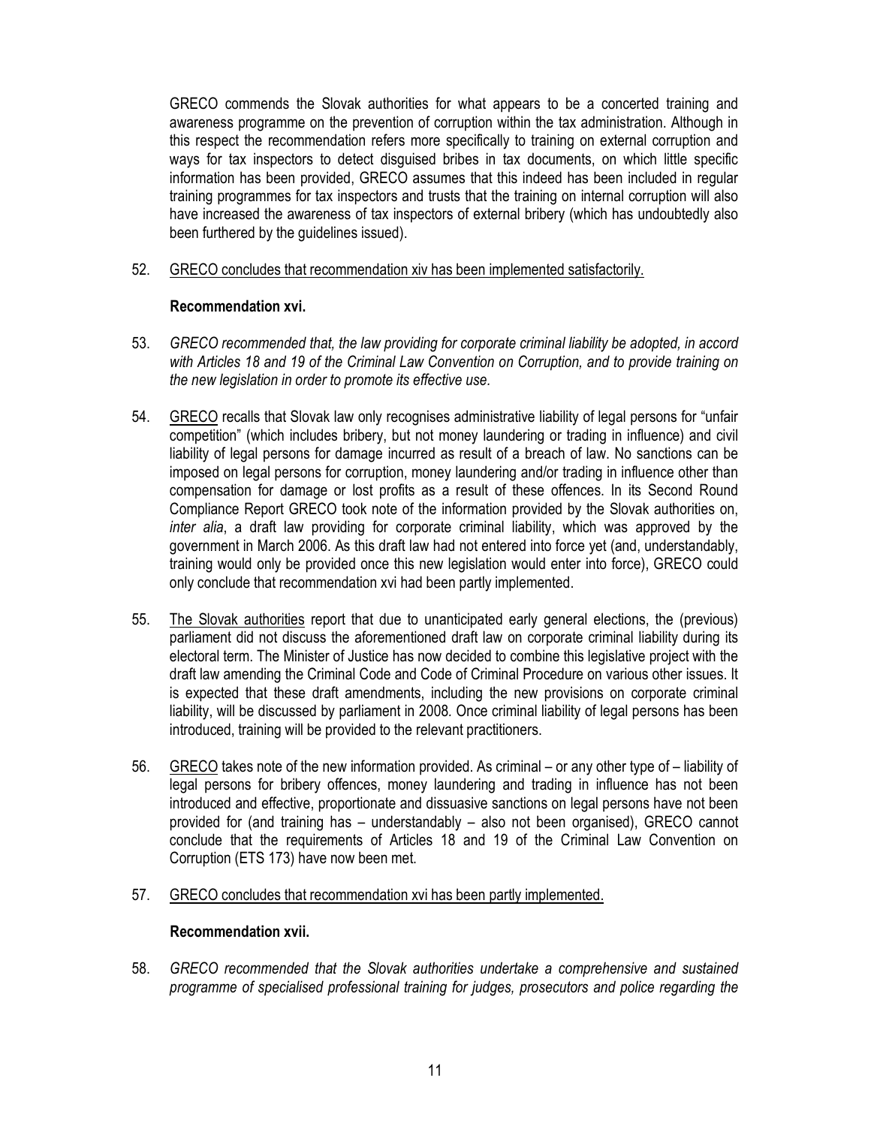GRECO commends the Slovak authorities for what appears to be a concerted training and awareness programme on the prevention of corruption within the tax administration. Although in this respect the recommendation refers more specifically to training on external corruption and ways for tax inspectors to detect disguised bribes in tax documents, on which little specific information has been provided, GRECO assumes that this indeed has been included in regular training programmes for tax inspectors and trusts that the training on internal corruption will also have increased the awareness of tax inspectors of external bribery (which has undoubtedly also been furthered by the guidelines issued).

52. GRECO concludes that recommendation xiv has been implemented satisfactorily.

## Recommendation xvi.

- 53. GRECO recommended that, the law providing for corporate criminal liability be adopted, in accord with Articles 18 and 19 of the Criminal Law Convention on Corruption, and to provide training on the new legislation in order to promote its effective use.
- 54. GRECO recalls that Slovak law only recognises administrative liability of legal persons for "unfair competition" (which includes bribery, but not money laundering or trading in influence) and civil liability of legal persons for damage incurred as result of a breach of law. No sanctions can be imposed on legal persons for corruption, money laundering and/or trading in influence other than compensation for damage or lost profits as a result of these offences. In its Second Round Compliance Report GRECO took note of the information provided by the Slovak authorities on, inter alia, a draft law providing for corporate criminal liability, which was approved by the government in March 2006. As this draft law had not entered into force yet (and, understandably, training would only be provided once this new legislation would enter into force), GRECO could only conclude that recommendation xvi had been partly implemented.
- 55. The Slovak authorities report that due to unanticipated early general elections, the (previous) parliament did not discuss the aforementioned draft law on corporate criminal liability during its electoral term. The Minister of Justice has now decided to combine this legislative project with the draft law amending the Criminal Code and Code of Criminal Procedure on various other issues. It is expected that these draft amendments, including the new provisions on corporate criminal liability, will be discussed by parliament in 2008. Once criminal liability of legal persons has been introduced, training will be provided to the relevant practitioners.
- 56. GRECO takes note of the new information provided. As criminal or any other type of liability of legal persons for bribery offences, money laundering and trading in influence has not been introduced and effective, proportionate and dissuasive sanctions on legal persons have not been provided for (and training has – understandably – also not been organised), GRECO cannot conclude that the requirements of Articles 18 and 19 of the Criminal Law Convention on Corruption (ETS 173) have now been met.
- 57. GRECO concludes that recommendation xvi has been partly implemented.

#### Recommendation xvii.

58. GRECO recommended that the Slovak authorities undertake a comprehensive and sustained programme of specialised professional training for judges, prosecutors and police regarding the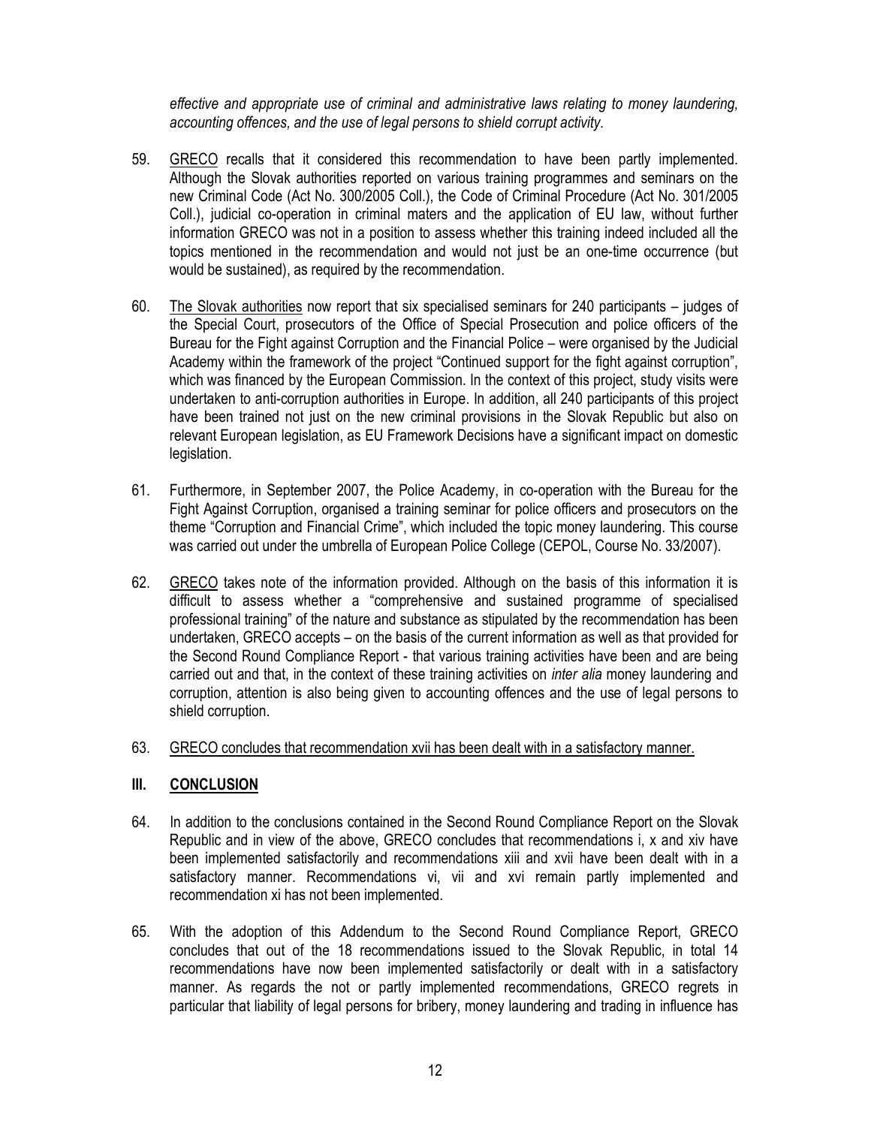effective and appropriate use of criminal and administrative laws relating to money laundering, accounting offences, and the use of legal persons to shield corrupt activity.

- 59. GRECO recalls that it considered this recommendation to have been partly implemented. Although the Slovak authorities reported on various training programmes and seminars on the new Criminal Code (Act No. 300/2005 Coll.), the Code of Criminal Procedure (Act No. 301/2005 Coll.), judicial co-operation in criminal maters and the application of EU law, without further information GRECO was not in a position to assess whether this training indeed included all the topics mentioned in the recommendation and would not just be an one-time occurrence (but would be sustained), as required by the recommendation.
- 60. The Slovak authorities now report that six specialised seminars for 240 participants judges of the Special Court, prosecutors of the Office of Special Prosecution and police officers of the Bureau for the Fight against Corruption and the Financial Police – were organised by the Judicial Academy within the framework of the project "Continued support for the fight against corruption", which was financed by the European Commission. In the context of this project, study visits were undertaken to anti-corruption authorities in Europe. In addition, all 240 participants of this project have been trained not just on the new criminal provisions in the Slovak Republic but also on relevant European legislation, as EU Framework Decisions have a significant impact on domestic legislation.
- 61. Furthermore, in September 2007, the Police Academy, in co-operation with the Bureau for the Fight Against Corruption, organised a training seminar for police officers and prosecutors on the theme "Corruption and Financial Crime", which included the topic money laundering. This course was carried out under the umbrella of European Police College (CEPOL, Course No. 33/2007).
- 62. GRECO takes note of the information provided. Although on the basis of this information it is difficult to assess whether a "comprehensive and sustained programme of specialised professional training" of the nature and substance as stipulated by the recommendation has been undertaken, GRECO accepts – on the basis of the current information as well as that provided for the Second Round Compliance Report - that various training activities have been and are being carried out and that, in the context of these training activities on *inter alia* money laundering and corruption, attention is also being given to accounting offences and the use of legal persons to shield corruption.
- 63. GRECO concludes that recommendation xvii has been dealt with in a satisfactory manner.

# III. CONCLUSION

- 64. In addition to the conclusions contained in the Second Round Compliance Report on the Slovak Republic and in view of the above, GRECO concludes that recommendations i, x and xiv have been implemented satisfactorily and recommendations xiii and xvii have been dealt with in a satisfactory manner. Recommendations vi, vii and xvi remain partly implemented and recommendation xi has not been implemented.
- 65. With the adoption of this Addendum to the Second Round Compliance Report, GRECO concludes that out of the 18 recommendations issued to the Slovak Republic, in total 14 recommendations have now been implemented satisfactorily or dealt with in a satisfactory manner. As regards the not or partly implemented recommendations, GRECO regrets in particular that liability of legal persons for bribery, money laundering and trading in influence has